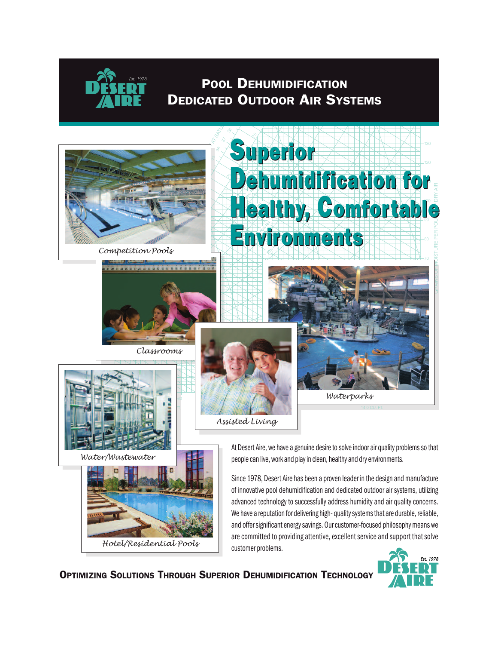

*Est. 1978*



**OPTIMIZING SOLUTIONS THROUGH SUPERIOR DEHUMIDIFICATION TECHNOLOGY**

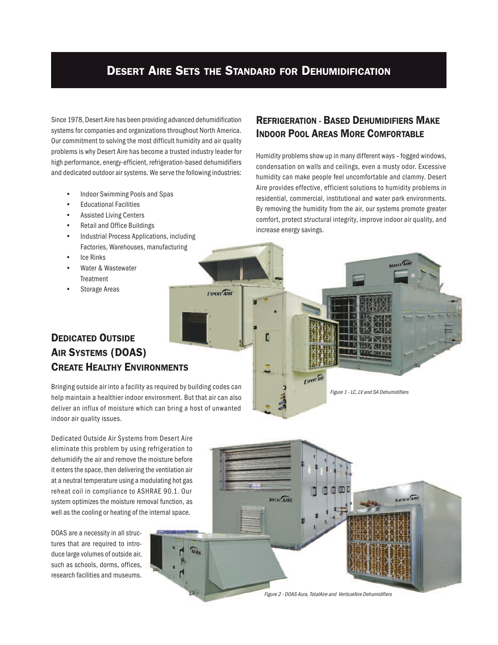# **DESERT AIRE SETS THE STANDARD FOR DEHUMIDIFICATION**

**EXPERT AIRE** 

Since 1978, Desert Aire has been providing advanced dehumidification systems for companies and organizations throughout North America. Our commitment to solving the most difficult humidity and air quality problems is why Desert Aire has become a trusted industry leader for high performance, energy-efficient, refrigeration-based dehumidifiers and dedicated outdoor air systems. We serve the following industries:

- Indoor Swimming Pools and Spas
- Educational Facilities
- Assisted Living Centers
- Retail and Office Buildings
- Industrial Process Applications, including Factories, Warehouses, manufacturing
- **Ice Rinks**
- Water & Wastewater Treatment
- Storage Areas

### **REFRIGERATION - BASED DEHUMIDIFIERS MAKE INDOOR POOL AREAS MORE COMFORTABLE**

Humidity problems show up in many different ways – fogged windows, condensation on walls and ceilings, even a musty odor. Excessive humidity can make people feel uncomfortable and clammy. Desert Aire provides effective, efficient solutions to humidity problems in residential, commercial, institutional and water park environments. By removing the humidity from the air, our systems promote greater comfort, protect structural integrity, improve indoor air quality, and increase energy savings.

Figure 1 - LC, LV and SA Dehumidifiers

# **DEDICATED OUTSIDE AIR SYSTEMS (DOAS) CREATE HEALTHY ENVIRONMENTS**

Bringing outside air into a facility as required by building codes can help maintain a healthier indoor environment. But that air can also deliver an influx of moisture which can bring a host of unwanted indoor air quality issues.

Dedicated Outside Air Systems from Desert Aire eliminate this problem by using refrigeration to dehumidify the air and remove the moisture before it enters the space, then delivering the ventilation air at a neutral temperature using a modulating hot gas reheat coil in compliance to ASHRAE 90.1. Our system optimizes the moisture removal function, as well as the cooling or heating of the internal space.

DOAS are a necessity in all structures that are required to introduce large volumes of outside air, such as schools, dorms, offices, research facilities and museums.



EXPERT AIRE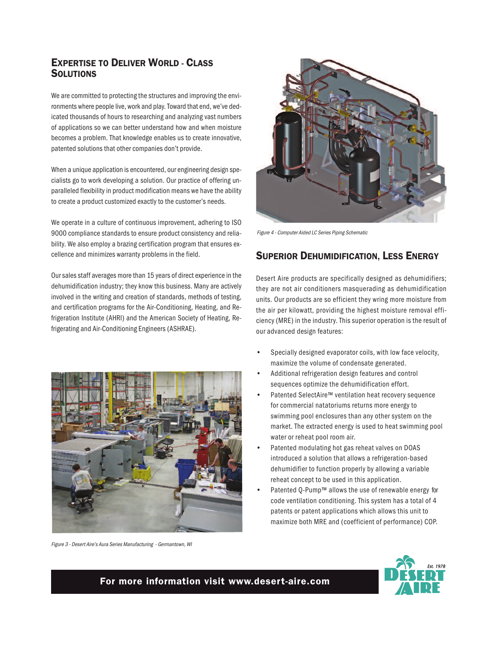#### **EXPERTISE TO DELIVER WORLD - CLASS SOLUTIONS**

We are committed to protecting the structures and improving the environments where people live, work and play. Toward that end, we've dedicated thousands of hours to researching and analyzing vast numbers of applications so we can better understand how and when moisture becomes a problem. That knowledge enables us to create innovative, patented solutions that other companies don't provide.

When a unique application is encountered, our engineering design specialists go to work developing a solution. Our practice of offering unparalleled flexibility in product modification means we have the ability to create a product customized exactly to the customer's needs.

We operate in a culture of continuous improvement, adhering to ISO 9000 compliance standards to ensure product consistency and reliability. We also employ a brazing certification program that ensures excellence and minimizes warranty problems in the field.

Our sales staff averages more than 15 years of direct experience in the dehumidification industry; they know this business. Many are actively involved in the writing and creation of standards, methods of testing, and certification programs for the Air-Conditioning, Heating, and Refrigeration Institute (AHRI) and the American Society of Heating, Refrigerating and Air-Conditioning Engineers (ASHRAE).



Figure 3 - Desert Aire's Aura Series Manufacturing - Germantown, WI



Figure 4 - Computer Aided LC Series Piping Schematic

#### **SUPERIOR DEHUMIDIFICATION, LESS ENERGY**

Desert Aire products are specifically designed as dehumidifiers; they are not air conditioners masquerading as dehumidification units. Our products are so efficient they wring more moisture from the air per kilowatt, providing the highest moisture removal efficiency (MRE) in the industry. This superior operation is the result of our advanced design features:

- Specially designed evaporator coils, with low face velocity, maximize the volume of condensate generated.
- Additional refrigeration design features and control sequences optimize the dehumidification effort.
- Patented SelectAire™ ventilation heat recovery sequence for commercial natatoriums returns more energy to swimming pool enclosures than any other system on the market. The extracted energy is used to heat swimming pool water or reheat pool room air.
- Patented modulating hot gas reheat valves on DOAS introduced a solution that allows a refrigeration-based dehumidifier to function properly by allowing a variable reheat concept to be used in this application.
- Patented O-Pump™ allows the use of renewable energy for code ventilation conditioning. This system has a total of 4 patents or patent applications which allows this unit to maximize both MRE and (coefficient of performance) COP.



#### **For more information visit www.desert-aire.com**